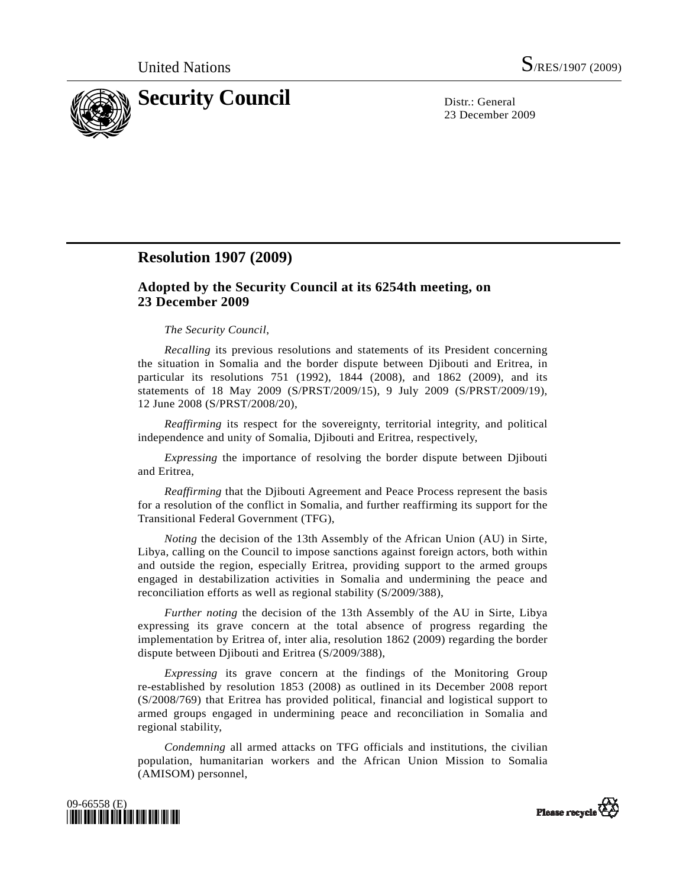

23 December 2009

## **Resolution 1907 (2009)**

## **Adopted by the Security Council at its 6254th meeting, on 23 December 2009**

## *The Security Council*,

*Recalling* its previous resolutions and statements of its President concerning the situation in Somalia and the border dispute between Djibouti and Eritrea, in particular its resolutions 751 (1992), 1844 (2008), and 1862 (2009), and its statements of 18 May 2009 (S/PRST/2009/15), 9 July 2009 (S/PRST/2009/19), 12 June 2008 (S/PRST/2008/20),

*Reaffirming* its respect for the sovereignty, territorial integrity, and political independence and unity of Somalia, Djibouti and Eritrea, respectively,

*Expressing* the importance of resolving the border dispute between Djibouti and Eritrea,

*Reaffirming* that the Djibouti Agreement and Peace Process represent the basis for a resolution of the conflict in Somalia, and further reaffirming its support for the Transitional Federal Government (TFG),

*Noting* the decision of the 13th Assembly of the African Union (AU) in Sirte, Libya, calling on the Council to impose sanctions against foreign actors, both within and outside the region, especially Eritrea, providing support to the armed groups engaged in destabilization activities in Somalia and undermining the peace and reconciliation efforts as well as regional stability (S/2009/388),

*Further noting* the decision of the 13th Assembly of the AU in Sirte, Libya expressing its grave concern at the total absence of progress regarding the implementation by Eritrea of, inter alia, resolution 1862 (2009) regarding the border dispute between Djibouti and Eritrea (S/2009/388),

*Expressing* its grave concern at the findings of the Monitoring Group re-established by resolution 1853 (2008) as outlined in its December 2008 report (S/2008/769) that Eritrea has provided political, financial and logistical support to armed groups engaged in undermining peace and reconciliation in Somalia and regional stability,

*Condemning* all armed attacks on TFG officials and institutions, the civilian population, humanitarian workers and the African Union Mission to Somalia (AMISOM) personnel,



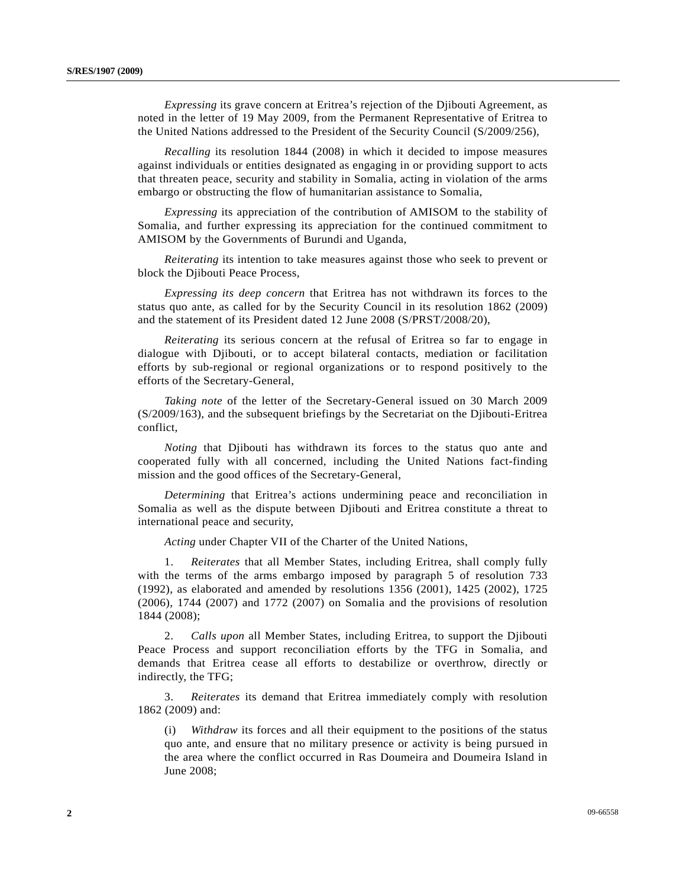*Expressing* its grave concern at Eritrea's rejection of the Djibouti Agreement, as noted in the letter of 19 May 2009, from the Permanent Representative of Eritrea to the United Nations addressed to the President of the Security Council (S/2009/256),

*Recalling* its resolution 1844 (2008) in which it decided to impose measures against individuals or entities designated as engaging in or providing support to acts that threaten peace, security and stability in Somalia, acting in violation of the arms embargo or obstructing the flow of humanitarian assistance to Somalia,

*Expressing* its appreciation of the contribution of AMISOM to the stability of Somalia, and further expressing its appreciation for the continued commitment to AMISOM by the Governments of Burundi and Uganda,

*Reiterating* its intention to take measures against those who seek to prevent or block the Djibouti Peace Process,

*Expressing its deep concern* that Eritrea has not withdrawn its forces to the status quo ante, as called for by the Security Council in its resolution 1862 (2009) and the statement of its President dated 12 June 2008 (S/PRST/2008/20),

*Reiterating* its serious concern at the refusal of Eritrea so far to engage in dialogue with Djibouti, or to accept bilateral contacts, mediation or facilitation efforts by sub-regional or regional organizations or to respond positively to the efforts of the Secretary-General,

*Taking note* of the letter of the Secretary-General issued on 30 March 2009 (S/2009/163), and the subsequent briefings by the Secretariat on the Djibouti-Eritrea conflict,

*Noting* that Djibouti has withdrawn its forces to the status quo ante and cooperated fully with all concerned, including the United Nations fact-finding mission and the good offices of the Secretary-General,

*Determining* that Eritrea's actions undermining peace and reconciliation in Somalia as well as the dispute between Djibouti and Eritrea constitute a threat to international peace and security,

*Acting* under Chapter VII of the Charter of the United Nations,

 1. *Reiterates* that all Member States, including Eritrea, shall comply fully with the terms of the arms embargo imposed by paragraph 5 of resolution 733 (1992), as elaborated and amended by resolutions 1356 (2001), 1425 (2002), 1725 (2006), 1744 (2007) and 1772 (2007) on Somalia and the provisions of resolution 1844 (2008);

 2. *Calls upon* all Member States, including Eritrea, to support the Djibouti Peace Process and support reconciliation efforts by the TFG in Somalia, and demands that Eritrea cease all efforts to destabilize or overthrow, directly or indirectly, the TFG;

 3. *Reiterates* its demand that Eritrea immediately comply with resolution 1862 (2009) and:

 (i) *Withdraw* its forces and all their equipment to the positions of the status quo ante, and ensure that no military presence or activity is being pursued in the area where the conflict occurred in Ras Doumeira and Doumeira Island in June 2008;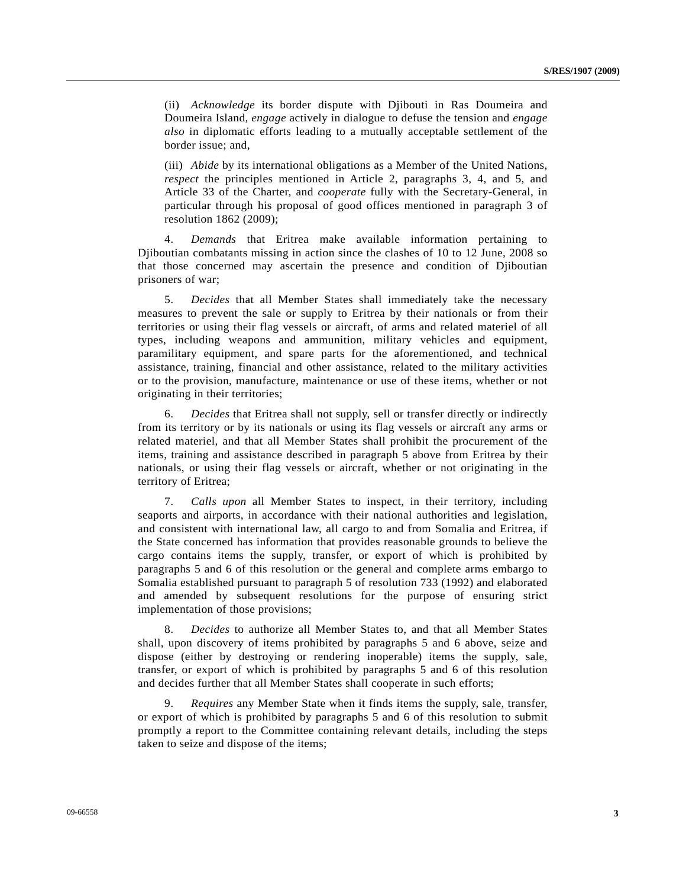(ii) *Acknowledge* its border dispute with Djibouti in Ras Doumeira and Doumeira Island, *engage* actively in dialogue to defuse the tension and *engage also* in diplomatic efforts leading to a mutually acceptable settlement of the border issue; and,

 (iii) *Abide* by its international obligations as a Member of the United Nations, *respect* the principles mentioned in Article 2, paragraphs 3, 4, and 5, and Article 33 of the Charter, and *cooperate* fully with the Secretary-General, in particular through his proposal of good offices mentioned in paragraph 3 of resolution 1862 (2009);

 4. *Demands* that Eritrea make available information pertaining to Djiboutian combatants missing in action since the clashes of 10 to 12 June, 2008 so that those concerned may ascertain the presence and condition of Djiboutian prisoners of war;

 5. *Decides* that all Member States shall immediately take the necessary measures to prevent the sale or supply to Eritrea by their nationals or from their territories or using their flag vessels or aircraft, of arms and related materiel of all types, including weapons and ammunition, military vehicles and equipment, paramilitary equipment, and spare parts for the aforementioned, and technical assistance, training, financial and other assistance, related to the military activities or to the provision, manufacture, maintenance or use of these items, whether or not originating in their territories;

 6. *Decides* that Eritrea shall not supply, sell or transfer directly or indirectly from its territory or by its nationals or using its flag vessels or aircraft any arms or related materiel, and that all Member States shall prohibit the procurement of the items, training and assistance described in paragraph 5 above from Eritrea by their nationals, or using their flag vessels or aircraft, whether or not originating in the territory of Eritrea;

 7. *Calls upon* all Member States to inspect, in their territory, including seaports and airports, in accordance with their national authorities and legislation, and consistent with international law, all cargo to and from Somalia and Eritrea, if the State concerned has information that provides reasonable grounds to believe the cargo contains items the supply, transfer, or export of which is prohibited by paragraphs 5 and 6 of this resolution or the general and complete arms embargo to Somalia established pursuant to paragraph 5 of resolution 733 (1992) and elaborated and amended by subsequent resolutions for the purpose of ensuring strict implementation of those provisions;

 8. *Decides* to authorize all Member States to, and that all Member States shall, upon discovery of items prohibited by paragraphs 5 and 6 above, seize and dispose (either by destroying or rendering inoperable) items the supply, sale, transfer, or export of which is prohibited by paragraphs 5 and 6 of this resolution and decides further that all Member States shall cooperate in such efforts;

 9. *Requires* any Member State when it finds items the supply, sale, transfer, or export of which is prohibited by paragraphs 5 and 6 of this resolution to submit promptly a report to the Committee containing relevant details, including the steps taken to seize and dispose of the items;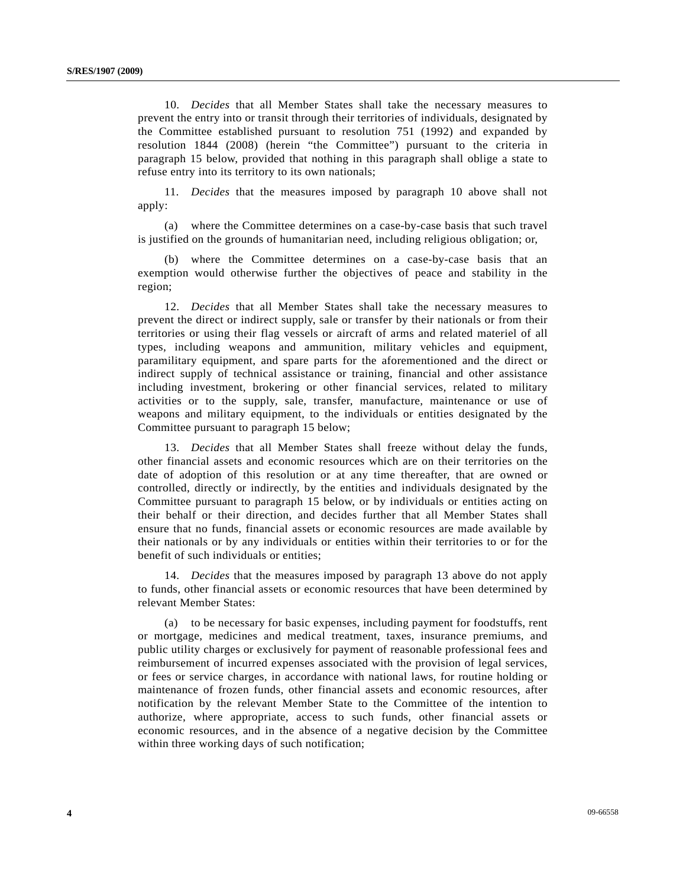10. *Decides* that all Member States shall take the necessary measures to prevent the entry into or transit through their territories of individuals, designated by the Committee established pursuant to resolution 751 (1992) and expanded by resolution 1844 (2008) (herein "the Committee") pursuant to the criteria in paragraph 15 below, provided that nothing in this paragraph shall oblige a state to refuse entry into its territory to its own nationals;

 11. *Decides* that the measures imposed by paragraph 10 above shall not apply:

 (a) where the Committee determines on a case-by-case basis that such travel is justified on the grounds of humanitarian need, including religious obligation; or,

 (b) where the Committee determines on a case-by-case basis that an exemption would otherwise further the objectives of peace and stability in the region;

 12. *Decides* that all Member States shall take the necessary measures to prevent the direct or indirect supply, sale or transfer by their nationals or from their territories or using their flag vessels or aircraft of arms and related materiel of all types, including weapons and ammunition, military vehicles and equipment, paramilitary equipment, and spare parts for the aforementioned and the direct or indirect supply of technical assistance or training, financial and other assistance including investment, brokering or other financial services, related to military activities or to the supply, sale, transfer, manufacture, maintenance or use of weapons and military equipment, to the individuals or entities designated by the Committee pursuant to paragraph 15 below;

 13. *Decides* that all Member States shall freeze without delay the funds, other financial assets and economic resources which are on their territories on the date of adoption of this resolution or at any time thereafter, that are owned or controlled, directly or indirectly, by the entities and individuals designated by the Committee pursuant to paragraph 15 below, or by individuals or entities acting on their behalf or their direction, and decides further that all Member States shall ensure that no funds, financial assets or economic resources are made available by their nationals or by any individuals or entities within their territories to or for the benefit of such individuals or entities;

 14. *Decides* that the measures imposed by paragraph 13 above do not apply to funds, other financial assets or economic resources that have been determined by relevant Member States:

 (a) to be necessary for basic expenses, including payment for foodstuffs, rent or mortgage, medicines and medical treatment, taxes, insurance premiums, and public utility charges or exclusively for payment of reasonable professional fees and reimbursement of incurred expenses associated with the provision of legal services, or fees or service charges, in accordance with national laws, for routine holding or maintenance of frozen funds, other financial assets and economic resources, after notification by the relevant Member State to the Committee of the intention to authorize, where appropriate, access to such funds, other financial assets or economic resources, and in the absence of a negative decision by the Committee within three working days of such notification;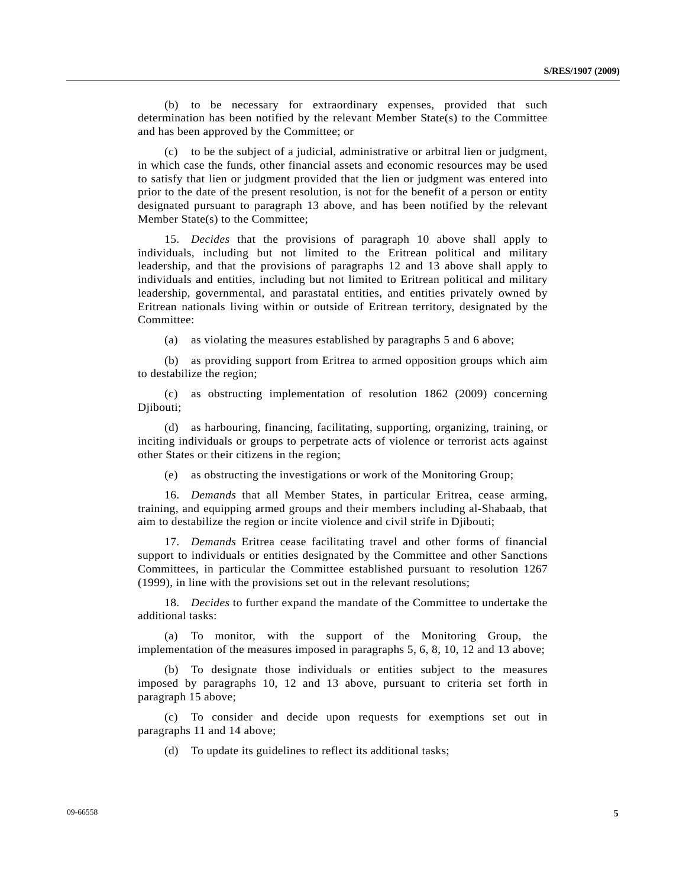(b) to be necessary for extraordinary expenses, provided that such determination has been notified by the relevant Member State(s) to the Committee and has been approved by the Committee; or

 (c) to be the subject of a judicial, administrative or arbitral lien or judgment, in which case the funds, other financial assets and economic resources may be used to satisfy that lien or judgment provided that the lien or judgment was entered into prior to the date of the present resolution, is not for the benefit of a person or entity designated pursuant to paragraph 13 above, and has been notified by the relevant Member State(s) to the Committee;

 15. *Decides* that the provisions of paragraph 10 above shall apply to individuals, including but not limited to the Eritrean political and military leadership, and that the provisions of paragraphs 12 and 13 above shall apply to individuals and entities, including but not limited to Eritrean political and military leadership, governmental, and parastatal entities, and entities privately owned by Eritrean nationals living within or outside of Eritrean territory, designated by the Committee:

(a) as violating the measures established by paragraphs 5 and 6 above;

 (b) as providing support from Eritrea to armed opposition groups which aim to destabilize the region;

 (c) as obstructing implementation of resolution 1862 (2009) concerning Djibouti;

 (d) as harbouring, financing, facilitating, supporting, organizing, training, or inciting individuals or groups to perpetrate acts of violence or terrorist acts against other States or their citizens in the region;

(e) as obstructing the investigations or work of the Monitoring Group;

 16. *Demands* that all Member States, in particular Eritrea, cease arming, training, and equipping armed groups and their members including al-Shabaab, that aim to destabilize the region or incite violence and civil strife in Djibouti;

 17. *Demands* Eritrea cease facilitating travel and other forms of financial support to individuals or entities designated by the Committee and other Sanctions Committees, in particular the Committee established pursuant to resolution 1267 (1999), in line with the provisions set out in the relevant resolutions;

 18. *Decides* to further expand the mandate of the Committee to undertake the additional tasks:

 (a) To monitor, with the support of the Monitoring Group, the implementation of the measures imposed in paragraphs 5, 6, 8, 10, 12 and 13 above;

 (b) To designate those individuals or entities subject to the measures imposed by paragraphs 10, 12 and 13 above, pursuant to criteria set forth in paragraph 15 above;

 (c) To consider and decide upon requests for exemptions set out in paragraphs 11 and 14 above;

(d) To update its guidelines to reflect its additional tasks;